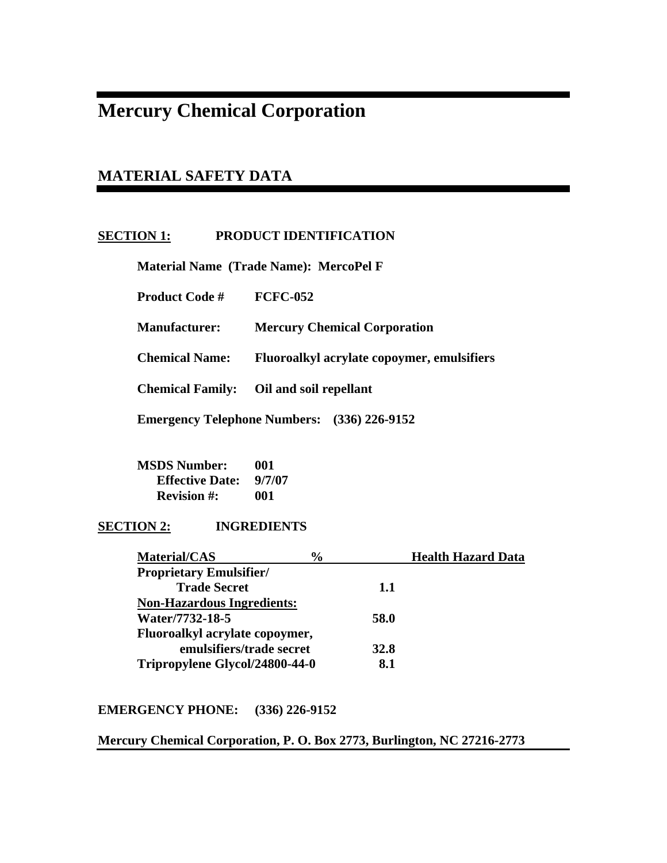# **Mercury Chemical Corporation**

## **MATERIAL SAFETY DATA**

### **SECTION 1: PRODUCT IDENTIFICATION**

 **Material Name (Trade Name): MercoPel F** 

 **Product Code # FCFC-052** 

 **Manufacturer: Mercury Chemical Corporation** 

 **Chemical Name: Fluoroalkyl acrylate copoymer, emulsifiers** 

 **Chemical Family: Oil and soil repellant** 

 **Emergency Telephone Numbers: (336) 226-9152** 

 **MSDS Number: 001 Effective Date: 9/7/07 Revision #: 001** 

### **SECTION 2: INGREDIENTS**

| <b>Material/CAS</b>               | $\frac{6}{6}$ | <b>Health Hazard Data</b> |
|-----------------------------------|---------------|---------------------------|
| <b>Proprietary Emulsifier/</b>    |               |                           |
| <b>Trade Secret</b>               | 1.1           |                           |
| <b>Non-Hazardous Ingredients:</b> |               |                           |
| Water/7732-18-5                   | 58.0          |                           |
| Fluoroalkyl acrylate copoymer,    |               |                           |
| emulsifiers/trade secret          | 32.8          |                           |
| Tripropylene Glycol/24800-44-0    | 8.1           |                           |
|                                   |               |                           |

### **EMERGENCY PHONE: (336) 226-9152**

### **Mercury Chemical Corporation, P. O. Box 2773, Burlington, NC 27216-2773**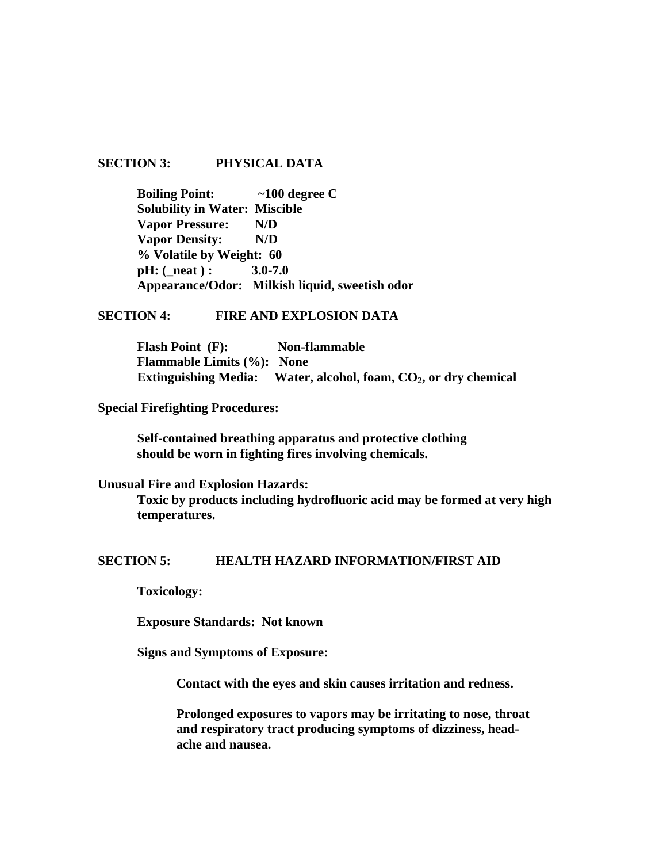### **SECTION 3: PHYSICAL DATA**

 **Boiling Point: ~100 degree C Solubility in Water: Miscible Vapor Pressure: N/D Vapor Density: N/D % Volatile by Weight: 60 pH:** ( neat ) : 3.0-7.0  **Appearance/Odor: Milkish liquid, sweetish odor** 

#### **SECTION 4: FIRE AND EXPLOSION DATA**

 **Flash Point (F): Non-flammable Flammable Limits (%): None**  Extinguishing Media: Water, alcohol, foam, CO<sub>2</sub>, or dry chemical

**Special Firefighting Procedures:** 

 **Self-contained breathing apparatus and protective clothing should be worn in fighting fires involving chemicals.** 

**Unusual Fire and Explosion Hazards:** 

**Toxic by products including hydrofluoric acid may be formed at very high temperatures.** 

#### **SECTION 5: HEALTH HAZARD INFORMATION/FIRST AID**

 **Toxicology:** 

 **Exposure Standards: Not known** 

 **Signs and Symptoms of Exposure:** 

 **Contact with the eyes and skin causes irritation and redness.** 

**Prolonged exposures to vapors may be irritating to nose, throat and respiratory tract producing symptoms of dizziness, head ache and nausea.**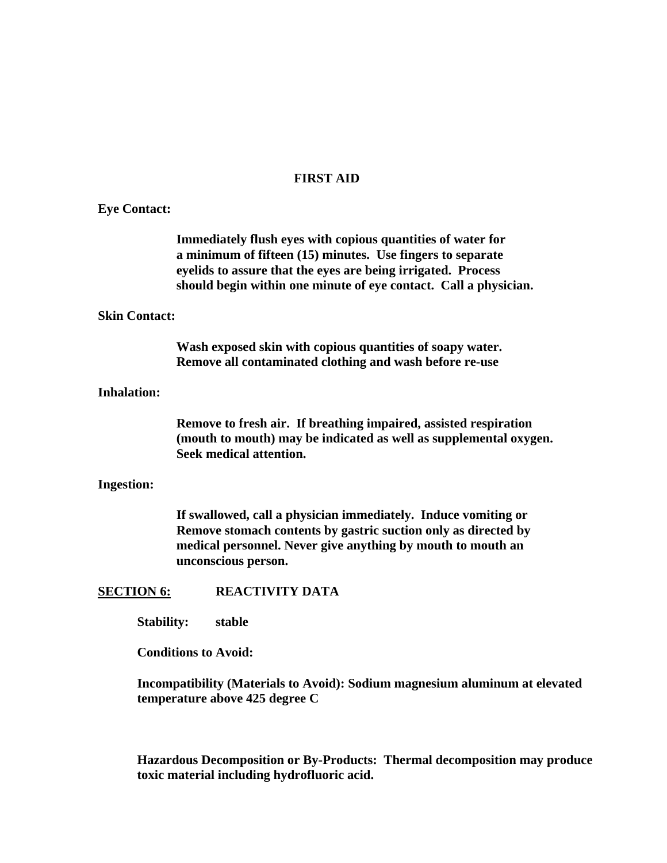### **FIRST AID**

| <b>Eye Contact:</b>  |                                                                                                                                                                                                                                                               |
|----------------------|---------------------------------------------------------------------------------------------------------------------------------------------------------------------------------------------------------------------------------------------------------------|
|                      | Immediately flush eyes with copious quantities of water for<br>a minimum of fifteen (15) minutes. Use fingers to separate<br>eyelids to assure that the eyes are being irrigated. Process<br>should begin within one minute of eye contact. Call a physician. |
| <b>Skin Contact:</b> |                                                                                                                                                                                                                                                               |
|                      | Wash exposed skin with copious quantities of soapy water.<br>Remove all contaminated clothing and wash before re-use                                                                                                                                          |
| <b>Inhalation:</b>   |                                                                                                                                                                                                                                                               |
|                      | Remove to fresh air. If breathing impaired, assisted respiration<br>(mouth to mouth) may be indicated as well as supplemental oxygen.<br>Seek medical attention.                                                                                              |
| <b>Ingestion:</b>    |                                                                                                                                                                                                                                                               |
|                      | If swallowed, call a physician immediately. Induce vomiting or<br>Remove stomach contents by gastric suction only as directed by<br>medical personnel. Never give anything by mouth to mouth an<br>unconscious person.                                        |
| <b>SECTION 6:</b>    | <b>REACTIVITY DATA</b>                                                                                                                                                                                                                                        |
| <b>Stability:</b>    | stable                                                                                                                                                                                                                                                        |
|                      | <b>Conditions to Avoid:</b>                                                                                                                                                                                                                                   |
|                      | Incompatibility (Materials to Avoid): Sodium magnesium aluminum at elevated<br>temperature above 425 degree C                                                                                                                                                 |

**Hazardous Decomposition or By-Products: Thermal decomposition may produce toxic material including hydrofluoric acid.**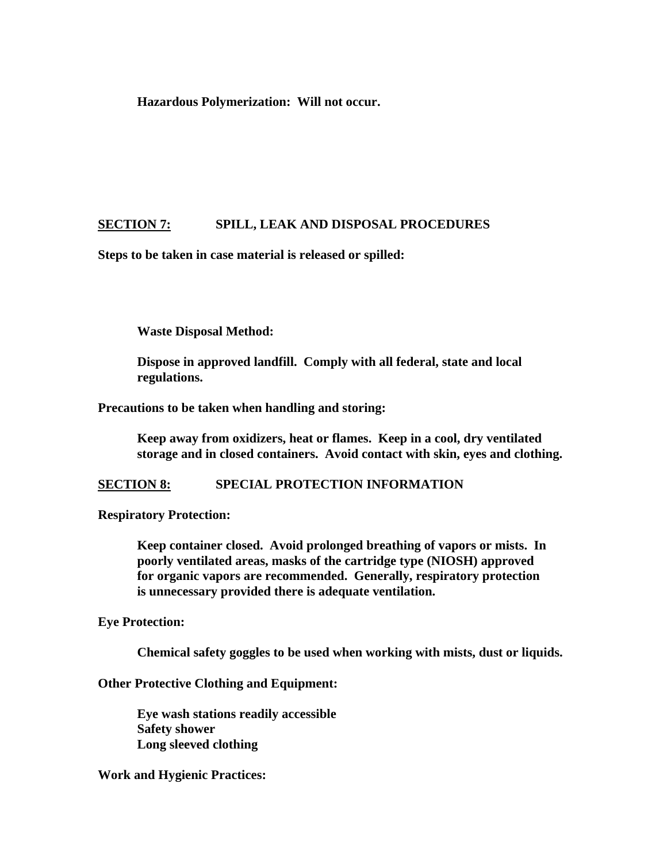**Hazardous Polymerization: Will not occur.** 

### **SECTION 7: SPILL, LEAK AND DISPOSAL PROCEDURES**

**Steps to be taken in case material is released or spilled:** 

 **Waste Disposal Method:** 

 **Dispose in approved landfill. Comply with all federal, state and local regulations.** 

**Precautions to be taken when handling and storing:** 

 **Keep away from oxidizers, heat or flames. Keep in a cool, dry ventilated storage and in closed containers. Avoid contact with skin, eyes and clothing.** 

**SECTION 8: SPECIAL PROTECTION INFORMATION** 

**Respiratory Protection:** 

**Keep container closed. Avoid prolonged breathing of vapors or mists. In poorly ventilated areas, masks of the cartridge type (NIOSH) approved for organic vapors are recommended. Generally, respiratory protection is unnecessary provided there is adequate ventilation.** 

**Eye Protection:** 

 **Chemical safety goggles to be used when working with mists, dust or liquids.** 

**Other Protective Clothing and Equipment:** 

 **Eye wash stations readily accessible Safety shower Long sleeved clothing** 

**Work and Hygienic Practices:**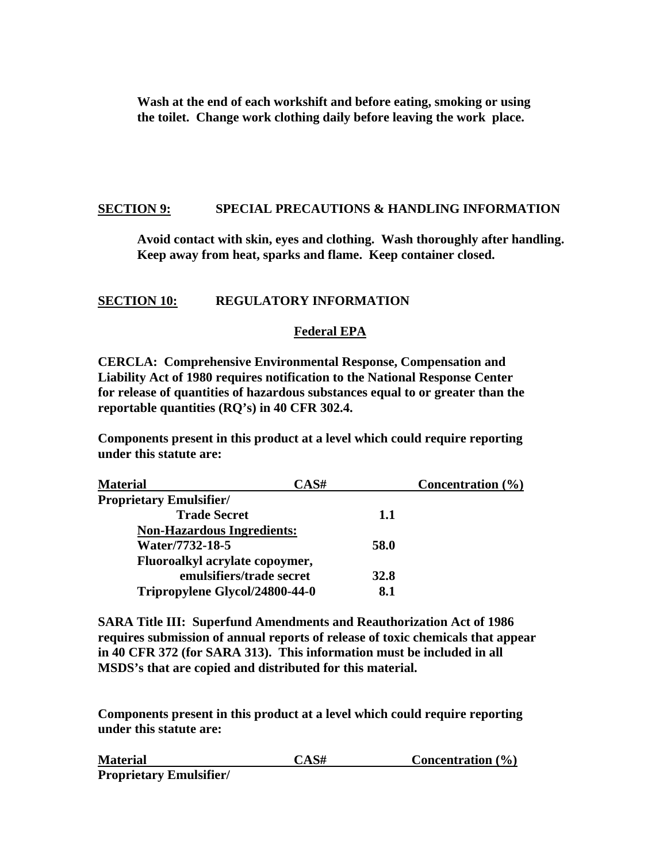**Wash at the end of each workshift and before eating, smoking or using the toilet. Change work clothing daily before leaving the work place.** 

### **SECTION 9: SPECIAL PRECAUTIONS & HANDLING INFORMATION**

 **Avoid contact with skin, eyes and clothing. Wash thoroughly after handling. Keep away from heat, sparks and flame. Keep container closed.** 

### **SECTION 10: REGULATORY INFORMATION**

### **Federal EPA**

**CERCLA: Comprehensive Environmental Response, Compensation and Liability Act of 1980 requires notification to the National Response Center for release of quantities of hazardous substances equal to or greater than the reportable quantities (RQ's) in 40 CFR 302.4.** 

**Components present in this product at a level which could require reporting under this statute are:** 

| <b>Material</b>                   | CAS#        | Concentration $(\% )$ |
|-----------------------------------|-------------|-----------------------|
| <b>Proprietary Emulsifier/</b>    |             |                       |
| <b>Trade Secret</b>               | 1.1         |                       |
| <b>Non-Hazardous Ingredients:</b> |             |                       |
| Water/7732-18-5                   | 58.0        |                       |
| Fluoroalkyl acrylate copoymer,    |             |                       |
| emulsifiers/trade secret          | <b>32.8</b> |                       |
| Tripropylene Glycol/24800-44-0    | 8.1         |                       |

**SARA Title III: Superfund Amendments and Reauthorization Act of 1986 requires submission of annual reports of release of toxic chemicals that appear in 40 CFR 372 (for SARA 313). This information must be included in all MSDS's that are copied and distributed for this material.** 

**Components present in this product at a level which could require reporting under this statute are:** 

| <b>Material</b>                | $CAS\#$ | Concentration $(\% )$ |
|--------------------------------|---------|-----------------------|
| <b>Proprietary Emulsifier/</b> |         |                       |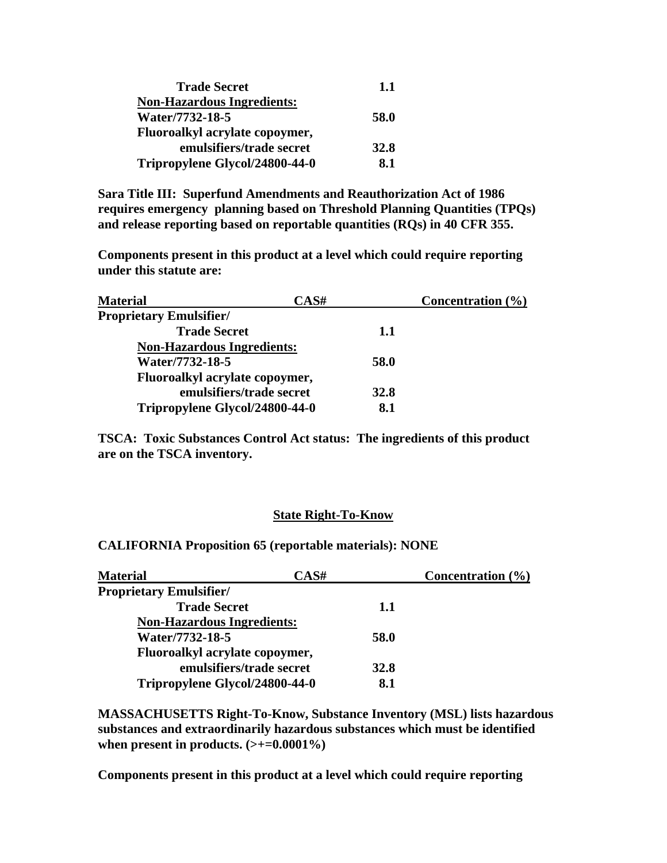| <b>Trade Secret</b>               | 1.1         |
|-----------------------------------|-------------|
| <b>Non-Hazardous Ingredients:</b> |             |
| Water/7732-18-5                   | 58.0        |
| Fluoroalkyl acrylate copoymer,    |             |
| emulsifiers/trade secret          | <b>32.8</b> |
| Tripropylene Glycol/24800-44-0    | 8.1         |

**Sara Title III: Superfund Amendments and Reauthorization Act of 1986 requires emergency planning based on Threshold Planning Quantities (TPQs) and release reporting based on reportable quantities (RQs) in 40 CFR 355.** 

**Components present in this product at a level which could require reporting under this statute are:** 

| <b>Material</b>                   | CAS# | Concentration $(\% )$ |
|-----------------------------------|------|-----------------------|
| <b>Proprietary Emulsifier/</b>    |      |                       |
| <b>Trade Secret</b>               | 1.1  |                       |
| <b>Non-Hazardous Ingredients:</b> |      |                       |
| Water/7732-18-5                   | 58.0 |                       |
| Fluoroalkyl acrylate copoymer,    |      |                       |
| emulsifiers/trade secret          | 32.8 |                       |
| Tripropylene Glycol/24800-44-0    | 8.1  |                       |

**TSCA: Toxic Substances Control Act status: The ingredients of this product are on the TSCA inventory.** 

### **State Right-To-Know**

**CALIFORNIA Proposition 65 (reportable materials): NONE** 

| <b>Material</b>                       | CAS#        | Concentration $(\% )$ |
|---------------------------------------|-------------|-----------------------|
| <b>Proprietary Emulsifier/</b>        |             |                       |
| <b>Trade Secret</b>                   | 1.1         |                       |
| <b>Non-Hazardous Ingredients:</b>     |             |                       |
| Water/7732-18-5                       | 58.0        |                       |
| <b>Fluoroalkyl acrylate copoymer,</b> |             |                       |
| emulsifiers/trade secret              | <b>32.8</b> |                       |
| Tripropylene Glycol/24800-44-0        | 8.1         |                       |

**MASSACHUSETTS Right-To-Know, Substance Inventory (MSL) lists hazardous substances and extraordinarily hazardous substances which must be identified**  when present in products.  $(\geq+0.0001\%)$ 

**Components present in this product at a level which could require reporting**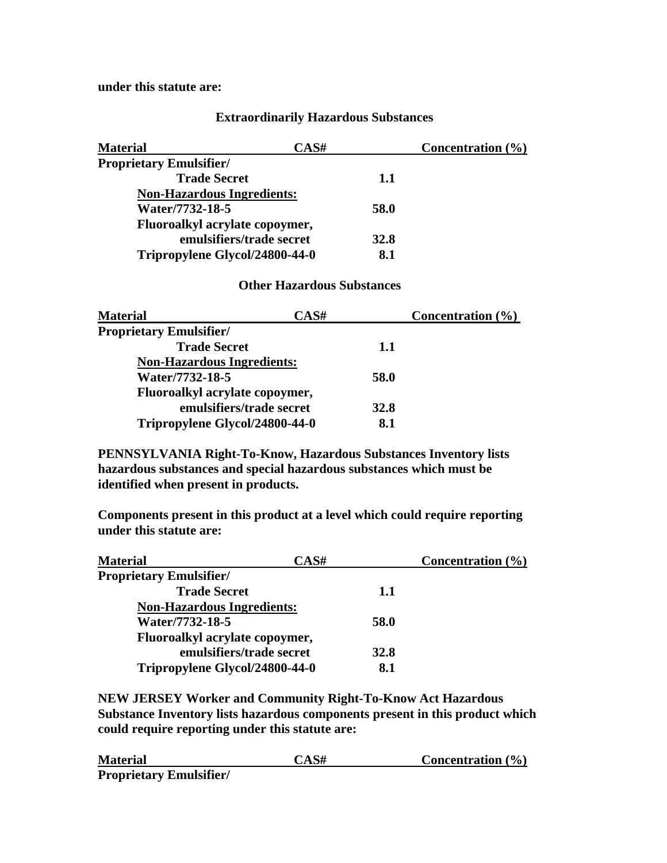**under this statute are:** 

### **Extraordinarily Hazardous Substances**

| <b>Material</b>                   | CAS#        | Concentration $(\% )$ |
|-----------------------------------|-------------|-----------------------|
| <b>Proprietary Emulsifier/</b>    |             |                       |
| <b>Trade Secret</b>               | 1.1         |                       |
| <b>Non-Hazardous Ingredients:</b> |             |                       |
| Water/7732-18-5                   | 58.0        |                       |
| Fluoroalkyl acrylate copoymer,    |             |                       |
| emulsifiers/trade secret          | <b>32.8</b> |                       |
| Tripropylene Glycol/24800-44-0    | 8.1         |                       |

### **Other Hazardous Substances**

| <b>Material</b>                   | CAS# | Concentration $(\% )$ |
|-----------------------------------|------|-----------------------|
| <b>Proprietary Emulsifier/</b>    |      |                       |
| <b>Trade Secret</b>               | 1.1  |                       |
| <b>Non-Hazardous Ingredients:</b> |      |                       |
| Water/7732-18-5                   | 58.0 |                       |
| Fluoroalkyl acrylate copoymer,    |      |                       |
| emulsifiers/trade secret          | 32.8 |                       |
| Tripropylene Glycol/24800-44-0    | 8.1  |                       |

**PENNSYLVANIA Right-To-Know, Hazardous Substances Inventory lists hazardous substances and special hazardous substances which must be identified when present in products.** 

**Components present in this product at a level which could require reporting under this statute are:** 

| <b>Material</b>                   | CAS#        | Concentration $(\% )$ |
|-----------------------------------|-------------|-----------------------|
| <b>Proprietary Emulsifier/</b>    |             |                       |
| <b>Trade Secret</b>               | 1.1         |                       |
| <b>Non-Hazardous Ingredients:</b> |             |                       |
| Water/7732-18-5                   | 58.0        |                       |
| Fluoroalkyl acrylate copoymer,    |             |                       |
| emulsifiers/trade secret          | <b>32.8</b> |                       |
| Tripropylene Glycol/24800-44-0    | 8.1         |                       |

**NEW JERSEY Worker and Community Right-To-Know Act Hazardous Substance Inventory lists hazardous components present in this product which could require reporting under this statute are:** 

| <b>Material</b>                | CAS# | Concentration $(\% )$ |
|--------------------------------|------|-----------------------|
| <b>Proprietary Emulsifier/</b> |      |                       |